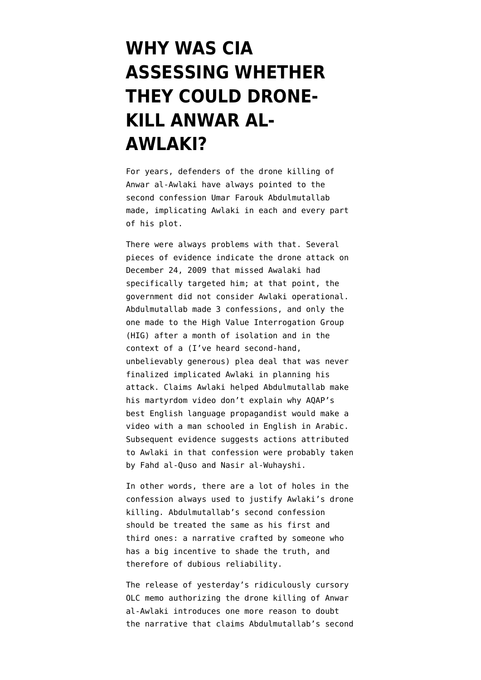## **[WHY WAS CIA](https://www.emptywheel.net/2014/08/16/why-was-cia-assessing-whether-they-could-drone-kill-anwar-al-awlaki/) [ASSESSING WHETHER](https://www.emptywheel.net/2014/08/16/why-was-cia-assessing-whether-they-could-drone-kill-anwar-al-awlaki/) [THEY COULD DRONE-](https://www.emptywheel.net/2014/08/16/why-was-cia-assessing-whether-they-could-drone-kill-anwar-al-awlaki/)[KILL ANWAR AL-](https://www.emptywheel.net/2014/08/16/why-was-cia-assessing-whether-they-could-drone-kill-anwar-al-awlaki/)[AWLAKI?](https://www.emptywheel.net/2014/08/16/why-was-cia-assessing-whether-they-could-drone-kill-anwar-al-awlaki/)**

For years, defenders of the drone killing of Anwar al-Awlaki have always pointed to the second [confession](http://www.emptywheel.net/2012/02/10/government-finally-released-evidence-anwar-al-awlakis-role-in-undiebombing-plot/) Umar Farouk Abdulmutallab made, implicating Awlaki in each and every part of his plot.

There were always problems with that. Several pieces of evidence [indicate](http://www.emptywheel.net/2012/07/25/what-was-the-evidence-supporting-the-first-strike-on-anwar-al-awlaki/) the drone attack on December 24, 2009 that missed Awalaki had specifically targeted him; at that point, the government did not consider Awlaki operational. Abdulmutallab [made](http://www.emptywheel.net/2012/02/14/when-was-doj-going-to-get-around-to-telling-us-about-awlaki-part-one/) 3 [confessions,](http://www.emptywheel.net/2013/05/22/in-guilty-plea-abdulmutallab-named-awlaki-as-inspiration-not-as-co-conspirator/) and only the one made to the High Value Interrogation Group (HIG) after a month of [isolation](http://www.emptywheel.net/2013/05/22/did-solitary-confinement-make-undiebomber-1-0-incompetent-to-represent-himself/) and in the context of a (I've heard second-hand, unbelievably generous) [plea deal](http://www.emptywheel.net/2012/02/14/when-was-doj-going-to-get-around-to-telling-us-about-awlaki-part-one/) that was never finalized implicated Awlaki in planning his attack. Claims Awlaki helped Abdulmutallab make his martyrdom video [don't explain](http://www.emptywheel.net/2013/06/02/why-would-the-undiebomber-make-a-martyrdom-video-in-arabic/) why AQAP's best English language propagandist would make a video with a man schooled in English in Arabic. Subsequent evidence suggests actions attributed to Awlaki in that confession were probably taken by [Fahd al-Quso](http://www.emptywheel.net/2013/05/21/why-would-the-us-shield-fahd-al-quso-in-february-2012-but-drone-kill-him-in-may-2012/) and [Nasir al-Wuhayshi](http://www.emptywheel.net/2014/06/27/arab-propagandists-drone-strike-obamas-awlaki-drone-story/).

In other words, there are a lot of holes in the confession always used to justify Awlaki's drone killing. Abdulmutallab's second confession should be treated the same as his first and third ones: a narrative crafted by someone who has a big incentive to shade the truth, and therefore of dubious reliability.

The [release](%20http://www.emptywheel.net/2014/08/15/7-pages-to-drone-kill-an-american-citizen/) of yesterday's ridiculously cursory OLC memo authorizing the drone killing of Anwar al-Awlaki introduces one more reason to doubt the narrative that claims Abdulmutallab's second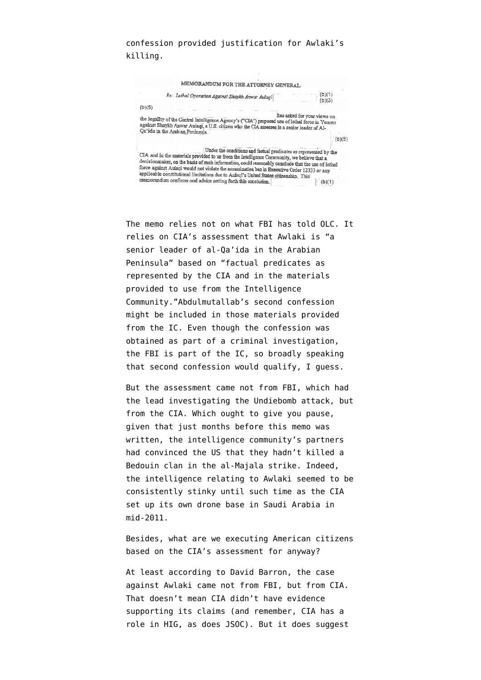## confession provided justification for Awlaki's killing.



The memo relies not on what FBI has told OLC. It relies on CIA's assessment that Awlaki is "a senior leader of al-Qa'ida in the Arabian Peninsula" based on "factual predicates as represented by the CIA and in the materials provided to use from the Intelligence Community."Abdulmutallab's second confession might be included in those materials provided from the IC. Even though the confession was obtained as part of a criminal investigation, the FBI is part of the IC, so broadly speaking that second confession would qualify, I guess.

But the assessment came not from FBI, which had the lead investigating the Undiebomb attack, but from the CIA. Which ought to give you pause, given that just months before this memo was written, the intelligence community's partners had convinced the US that they hadn't killed a Bedouin clan in the al-Majala strike. Indeed, the intelligence relating to Awlaki seemed to be consistently stinky until such time as the CIA set up its own drone base in Saudi Arabia in mid-2011.

Besides, what are we executing American citizens based on the CIA's assessment for anyway?

At least according to David Barron, the case against Awlaki came not from FBI, but from CIA. That doesn't mean CIA didn't have evidence supporting its claims (and remember, CIA has a role in HIG, as does JSOC). But it does suggest